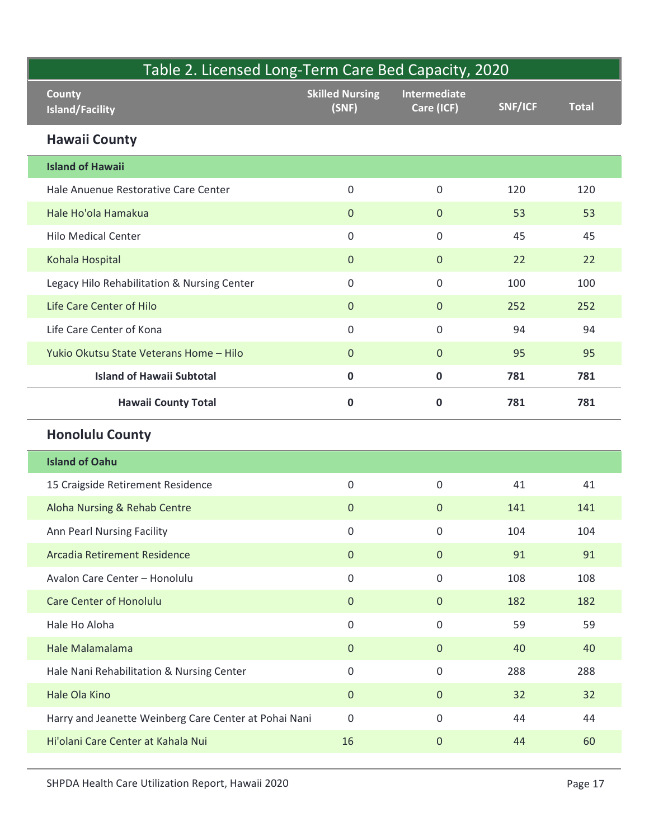| Table 2. Licensed Long-Term Care Bed Capacity, 2020 |                                                       |                                 |                            |         |              |
|-----------------------------------------------------|-------------------------------------------------------|---------------------------------|----------------------------|---------|--------------|
|                                                     | <b>County</b><br><b>Island/Facility</b>               | <b>Skilled Nursing</b><br>(SNF) | Intermediate<br>Care (ICF) | SNF/ICF | <b>Total</b> |
|                                                     | <b>Hawaii County</b>                                  |                                 |                            |         |              |
|                                                     | <b>Island of Hawaii</b>                               |                                 |                            |         |              |
|                                                     | Hale Anuenue Restorative Care Center                  | $\mathsf 0$                     | $\boldsymbol{0}$           | 120     | 120          |
|                                                     | Hale Ho'ola Hamakua                                   | $\mathbf{0}$                    | $\overline{0}$             | 53      | 53           |
|                                                     | <b>Hilo Medical Center</b>                            | $\mathsf 0$                     | $\mathsf{O}$               | 45      | 45           |
|                                                     | Kohala Hospital                                       | $\mathbf{0}$                    | $\overline{0}$             | 22      | 22           |
|                                                     | Legacy Hilo Rehabilitation & Nursing Center           | $\mathbf 0$                     | $\mathbf 0$                | 100     | 100          |
|                                                     | Life Care Center of Hilo                              | $\mathbf{0}$                    | $\mathbf{0}$               | 252     | 252          |
|                                                     | Life Care Center of Kona                              | $\boldsymbol{0}$                | $\mathsf{O}\xspace$        | 94      | 94           |
|                                                     | Yukio Okutsu State Veterans Home - Hilo               | $\mathbf{0}$                    | $\overline{0}$             | 95      | 95           |
|                                                     | <b>Island of Hawaii Subtotal</b>                      | $\mathbf 0$                     | $\mathbf 0$                | 781     | 781          |
|                                                     | <b>Hawaii County Total</b>                            | $\pmb{0}$                       | $\mathbf 0$                | 781     | 781          |
|                                                     | <b>Honolulu County</b>                                |                                 |                            |         |              |
|                                                     | <b>Island of Oahu</b>                                 |                                 |                            |         |              |
|                                                     | 15 Craigside Retirement Residence                     | $\mathsf{O}\xspace$             | $\boldsymbol{0}$           | 41      | 41           |
|                                                     | Aloha Nursing & Rehab Centre                          | $\mathbf 0$                     | $\overline{0}$             | 141     | 141          |
|                                                     | Ann Pearl Nursing Facility                            | $\boldsymbol{0}$                | $\mathsf{O}$               | 104     | 104          |
|                                                     | Arcadia Retirement Residence                          | $\mathbf{0}$                    | $\overline{0}$             | 91      | 91           |
|                                                     | Avalon Care Center - Honolulu                         | $\mathsf{O}\xspace$             | $\mathsf{O}$               | 108     | 108          |
|                                                     | <b>Care Center of Honolulu</b>                        | $\mathbf{0}$                    | $\overline{0}$             | 182     | 182          |
|                                                     | Hale Ho Aloha                                         | $\boldsymbol{0}$                | $\mathsf{O}$               | 59      | 59           |
|                                                     | Hale Malamalama                                       | $\mathbf 0$                     | $\overline{0}$             | 40      | 40           |
|                                                     | Hale Nani Rehabilitation & Nursing Center             | $\boldsymbol{0}$                | $\mathsf{O}$               | 288     | 288          |
|                                                     | Hale Ola Kino                                         | $\overline{0}$                  | $\overline{0}$             | 32      | 32           |
|                                                     | Harry and Jeanette Weinberg Care Center at Pohai Nani | $\mathsf{O}\xspace$             | $\mathsf{O}$               | 44      | 44           |
|                                                     | Hi'olani Care Center at Kahala Nui                    | 16                              | $\overline{0}$             | 44      | 60           |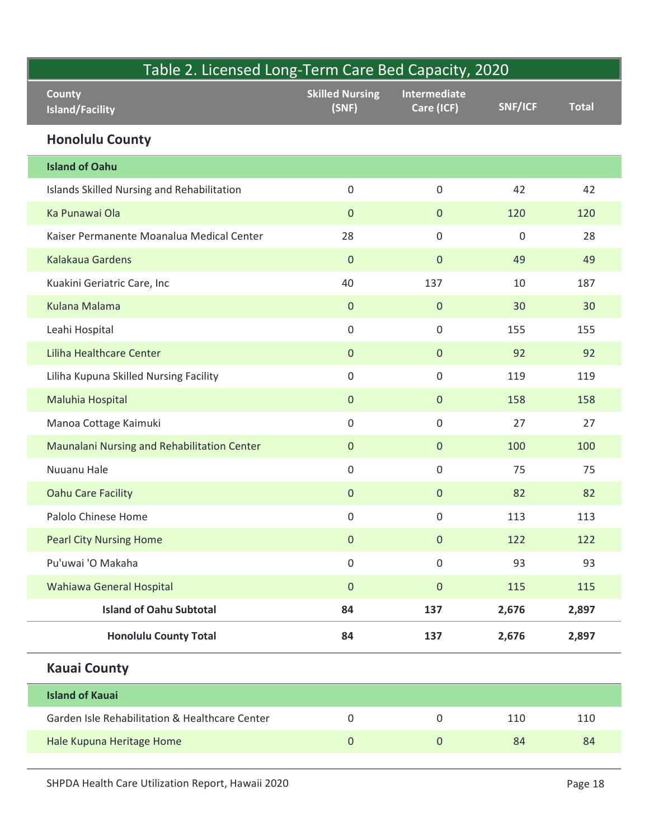|  | Table 2. Licensed Long-Term Care Bed Capacity, 2020 |                                 |                            |             |              |
|--|-----------------------------------------------------|---------------------------------|----------------------------|-------------|--------------|
|  | <b>County</b><br><b>Island/Facility</b>             | <b>Skilled Nursing</b><br>(SNF) | Intermediate<br>Care (ICF) | SNF/ICF     | <b>Total</b> |
|  | <b>Honolulu County</b>                              |                                 |                            |             |              |
|  | <b>Island of Oahu</b>                               |                                 |                            |             |              |
|  | Islands Skilled Nursing and Rehabilitation          | $\mathsf 0$                     | $\mathbf 0$                | 42          | 42           |
|  | Ka Punawai Ola                                      | $\pmb{0}$                       | $\mathbf{0}$               | 120         | 120          |
|  | Kaiser Permanente Moanalua Medical Center           | 28                              | $\mathsf{O}$               | $\mathbf 0$ | 28           |
|  | Kalakaua Gardens                                    | $\pmb{0}$                       | $\mathbf{0}$               | 49          | 49           |
|  | Kuakini Geriatric Care, Inc                         | 40                              | 137                        | 10          | 187          |
|  | Kulana Malama                                       | $\pmb{0}$                       | $\mathbf{0}$               | 30          | 30           |
|  | Leahi Hospital                                      | $\mathsf{O}\xspace$             | $\mathsf{O}\xspace$        | 155         | 155          |
|  | Liliha Healthcare Center                            | $\pmb{0}$                       | $\mathbf{0}$               | 92          | 92           |
|  | Liliha Kupuna Skilled Nursing Facility              | $\mathsf 0$                     | $\mathbf 0$                | 119         | 119          |
|  | Maluhia Hospital                                    | $\mathbf 0$                     | $\overline{0}$             | 158         | 158          |
|  | Manoa Cottage Kaimuki                               | $\mathsf 0$                     | $\mathbf 0$                | 27          | 27           |
|  | Maunalani Nursing and Rehabilitation Center         | $\mathbf 0$                     | $\overline{0}$             | 100         | 100          |
|  | Nuuanu Hale                                         | $\mathsf{O}\xspace$             | $\mathsf{O}$               | 75          | 75           |
|  | <b>Oahu Care Facility</b>                           | $\pmb{0}$                       | $\overline{0}$             | 82          | 82           |
|  | Palolo Chinese Home                                 | $\mathsf 0$                     | $\mathbf 0$                | 113         | 113          |
|  | <b>Pearl City Nursing Home</b>                      | $\pmb{0}$                       | $\overline{0}$             | 122         | 122          |
|  | Pu'uwai 'O Makaha                                   | $\mathsf 0$                     | $\mathbf 0$                | 93          | 93           |
|  | Wahiawa General Hospital                            | $\pmb{0}$                       | $\mathbf{0}$               | 115         | 115          |
|  | <b>Island of Oahu Subtotal</b>                      | 84                              | 137                        | 2,676       | 2,897        |
|  | <b>Honolulu County Total</b>                        | 84                              | 137                        | 2,676       | 2,897        |
|  | <b>Kauai County</b>                                 |                                 |                            |             |              |
|  | <b>Island of Kauai</b>                              |                                 |                            |             |              |
|  | Garden Isle Rehabilitation & Healthcare Center      | $\mathsf{O}\xspace$             | $\mathbf 0$                | 110         | 110          |
|  | Hale Kupuna Heritage Home                           | $\pmb{0}$                       | $\mathbf{0}$               | 84          | 84           |
|  | SHPDA Health Care Utilization Report, Hawaii 2020   |                                 |                            |             | Page 18      |